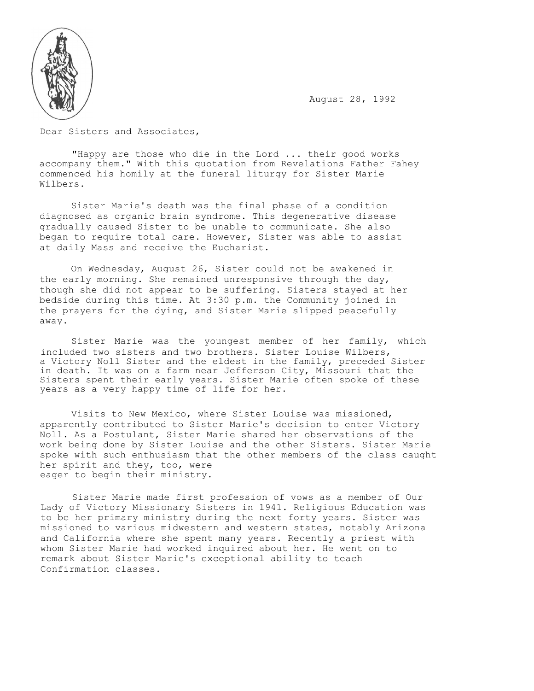August 28, 1992



Dear Sisters and Associates,

"Happy are those who die in the Lord ... their good works accompany them." With this quotation from Revelations Father Fahey commenced his homily at the funeral liturgy for Sister Marie Wilbers.

Sister Marie's death was the final phase of a condition diagnosed as organic brain syndrome. This degenerative disease gradually caused Sister to be unable to communicate. She also began to require total care. However, Sister was able to assist at daily Mass and receive the Eucharist.

On Wednesday, August 26, Sister could not be awakened in the early morning. She remained unresponsive through the day, though she did not appear to be suffering. Sisters stayed at her bedside during this time. At 3:30 p.m. the Community joined in the prayers for the dying, and Sister Marie slipped peacefully away.

Sister Marie was the youngest member of her family, which included two sisters and two brothers. Sister Louise Wilbers, a Victory Noll Sister and the eldest in the family, preceded Sister in death. It was on a farm near Jefferson City, Missouri that the Sisters spent their early years. Sister Marie often spoke of these years as a very happy time of life for her.

Visits to New Mexico, where Sister Louise was missioned, apparently contributed to Sister Marie's decision to enter Victory Noll. As a Postulant, Sister Marie shared her observations of the work being done by Sister Louise and the other Sisters. Sister Marie spoke with such enthusiasm that the other members of the class caught her spirit and they, too, were eager to begin their ministry.

Sister Marie made first profession of vows as a member of Our Lady of Victory Missionary Sisters in 1941. Religious Education was to be her primary ministry during the next forty years. Sister was missioned to various midwestern and western states, notably Arizona and California where she spent many years. Recently a priest with whom Sister Marie had worked inquired about her. He went on to remark about Sister Marie's exceptional ability to teach Confirmation classes.